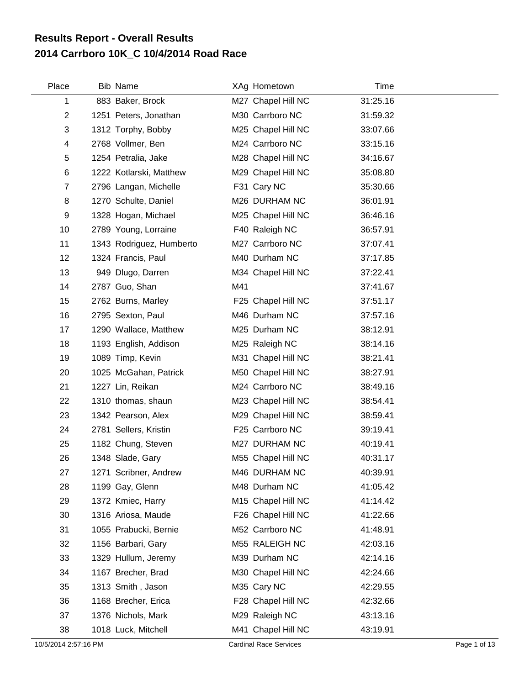## **2014 Carrboro 10K\_C 10/4/2014 Road Race Results Report - Overall Results**

| Place          | <b>Bib Name</b>          |     | XAg Hometown       | Time     |
|----------------|--------------------------|-----|--------------------|----------|
| 1              | 883 Baker, Brock         |     | M27 Chapel Hill NC | 31:25.16 |
| $\overline{2}$ | 1251 Peters, Jonathan    |     | M30 Carrboro NC    | 31:59.32 |
| 3              | 1312 Torphy, Bobby       |     | M25 Chapel Hill NC | 33:07.66 |
| 4              | 2768 Vollmer, Ben        |     | M24 Carrboro NC    | 33:15.16 |
| 5              | 1254 Petralia, Jake      |     | M28 Chapel Hill NC | 34:16.67 |
| 6              | 1222 Kotlarski, Matthew  |     | M29 Chapel Hill NC | 35:08.80 |
| $\overline{7}$ | 2796 Langan, Michelle    |     | F31 Cary NC        | 35:30.66 |
| 8              | 1270 Schulte, Daniel     |     | M26 DURHAM NC      | 36:01.91 |
| 9              | 1328 Hogan, Michael      |     | M25 Chapel Hill NC | 36:46.16 |
| 10             | 2789 Young, Lorraine     |     | F40 Raleigh NC     | 36:57.91 |
| 11             | 1343 Rodriguez, Humberto |     | M27 Carrboro NC    | 37:07.41 |
| 12             | 1324 Francis, Paul       |     | M40 Durham NC      | 37:17.85 |
| 13             | 949 Dlugo, Darren        |     | M34 Chapel Hill NC | 37:22.41 |
| 14             | 2787 Guo, Shan           | M41 |                    | 37:41.67 |
| 15             | 2762 Burns, Marley       |     | F25 Chapel Hill NC | 37:51.17 |
| 16             | 2795 Sexton, Paul        |     | M46 Durham NC      | 37:57.16 |
| 17             | 1290 Wallace, Matthew    |     | M25 Durham NC      | 38:12.91 |
| 18             | 1193 English, Addison    |     | M25 Raleigh NC     | 38:14.16 |
| 19             | 1089 Timp, Kevin         |     | M31 Chapel Hill NC | 38:21.41 |
| 20             | 1025 McGahan, Patrick    |     | M50 Chapel Hill NC | 38:27.91 |
| 21             | 1227 Lin, Reikan         |     | M24 Carrboro NC    | 38:49.16 |
| 22             | 1310 thomas, shaun       |     | M23 Chapel Hill NC | 38:54.41 |
| 23             | 1342 Pearson, Alex       |     | M29 Chapel Hill NC | 38:59.41 |
| 24             | 2781 Sellers, Kristin    |     | F25 Carrboro NC    | 39:19.41 |
| 25             | 1182 Chung, Steven       |     | M27 DURHAM NC      | 40:19.41 |
| 26             | 1348 Slade, Gary         |     | M55 Chapel Hill NC | 40:31.17 |
| 27             | 1271 Scribner, Andrew    |     | M46 DURHAM NC      | 40:39.91 |
| 28             | 1199 Gay, Glenn          |     | M48 Durham NC      | 41:05.42 |
| 29             | 1372 Kmiec, Harry        |     | M15 Chapel Hill NC | 41:14.42 |
| 30             | 1316 Ariosa, Maude       |     | F26 Chapel Hill NC | 41:22.66 |
| 31             | 1055 Prabucki, Bernie    |     | M52 Carrboro NC    | 41:48.91 |
| 32             | 1156 Barbari, Gary       |     | M55 RALEIGH NC     | 42:03.16 |
| 33             | 1329 Hullum, Jeremy      |     | M39 Durham NC      | 42:14.16 |
| 34             | 1167 Brecher, Brad       |     | M30 Chapel Hill NC | 42:24.66 |
| 35             | 1313 Smith, Jason        |     | M35 Cary NC        | 42:29.55 |
| 36             | 1168 Brecher, Erica      |     | F28 Chapel Hill NC | 42:32.66 |
| 37             | 1376 Nichols, Mark       |     | M29 Raleigh NC     | 43:13.16 |
| 38             | 1018 Luck, Mitchell      |     | M41 Chapel Hill NC | 43:19.91 |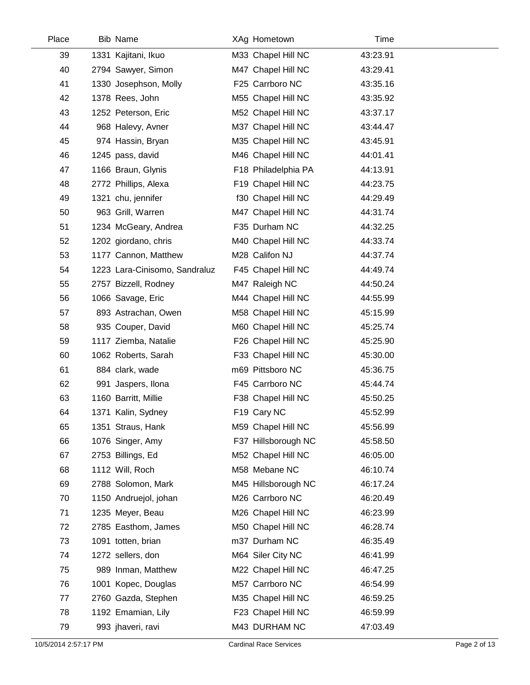| Place | <b>Bib Name</b>               | XAg Hometown        | Time     |  |
|-------|-------------------------------|---------------------|----------|--|
| 39    | 1331 Kajitani, Ikuo           | M33 Chapel Hill NC  | 43:23.91 |  |
| 40    | 2794 Sawyer, Simon            | M47 Chapel Hill NC  | 43:29.41 |  |
| 41    | 1330 Josephson, Molly         | F25 Carrboro NC     | 43:35.16 |  |
| 42    | 1378 Rees, John               | M55 Chapel Hill NC  | 43:35.92 |  |
| 43    | 1252 Peterson, Eric           | M52 Chapel Hill NC  | 43:37.17 |  |
| 44    | 968 Halevy, Avner             | M37 Chapel Hill NC  | 43:44.47 |  |
| 45    | 974 Hassin, Bryan             | M35 Chapel Hill NC  | 43:45.91 |  |
| 46    | 1245 pass, david              | M46 Chapel Hill NC  | 44:01.41 |  |
| 47    | 1166 Braun, Glynis            | F18 Philadelphia PA | 44:13.91 |  |
| 48    | 2772 Phillips, Alexa          | F19 Chapel Hill NC  | 44:23.75 |  |
| 49    | 1321 chu, jennifer            | f30 Chapel Hill NC  | 44:29.49 |  |
| 50    | 963 Grill, Warren             | M47 Chapel Hill NC  | 44:31.74 |  |
| 51    | 1234 McGeary, Andrea          | F35 Durham NC       | 44:32.25 |  |
| 52    | 1202 giordano, chris          | M40 Chapel Hill NC  | 44:33.74 |  |
| 53    | 1177 Cannon, Matthew          | M28 Califon NJ      | 44:37.74 |  |
| 54    | 1223 Lara-Cinisomo, Sandraluz | F45 Chapel Hill NC  | 44:49.74 |  |
| 55    | 2757 Bizzell, Rodney          | M47 Raleigh NC      | 44:50.24 |  |
| 56    | 1066 Savage, Eric             | M44 Chapel Hill NC  | 44:55.99 |  |
| 57    | 893 Astrachan, Owen           | M58 Chapel Hill NC  | 45:15.99 |  |
| 58    | 935 Couper, David             | M60 Chapel Hill NC  | 45:25.74 |  |
| 59    | 1117 Ziemba, Natalie          | F26 Chapel Hill NC  | 45:25.90 |  |
| 60    | 1062 Roberts, Sarah           | F33 Chapel Hill NC  | 45:30.00 |  |
| 61    | 884 clark, wade               | m69 Pittsboro NC    | 45:36.75 |  |
| 62    | 991 Jaspers, Ilona            | F45 Carrboro NC     | 45:44.74 |  |
| 63    | 1160 Barritt, Millie          | F38 Chapel Hill NC  | 45:50.25 |  |
| 64    | 1371 Kalin, Sydney            | F19 Cary NC         | 45:52.99 |  |
| 65    | 1351 Straus, Hank             | M59 Chapel Hill NC  | 45:56.99 |  |
| 66    | 1076 Singer, Amy              | F37 Hillsborough NC | 45:58.50 |  |
| 67    | 2753 Billings, Ed             | M52 Chapel Hill NC  | 46:05.00 |  |
| 68    | 1112 Will, Roch               | M58 Mebane NC       | 46:10.74 |  |
| 69    | 2788 Solomon, Mark            | M45 Hillsborough NC | 46:17.24 |  |
| 70    | 1150 Andruejol, johan         | M26 Carrboro NC     | 46:20.49 |  |
| 71    | 1235 Meyer, Beau              | M26 Chapel Hill NC  | 46:23.99 |  |
| 72    | 2785 Easthom, James           | M50 Chapel Hill NC  | 46:28.74 |  |
| 73    | 1091 totten, brian            | m37 Durham NC       | 46:35.49 |  |
| 74    | 1272 sellers, don             | M64 Siler City NC   | 46:41.99 |  |
| 75    | 989 Inman, Matthew            | M22 Chapel Hill NC  | 46:47.25 |  |
| 76    | 1001 Kopec, Douglas           | M57 Carrboro NC     | 46:54.99 |  |
| 77    | 2760 Gazda, Stephen           | M35 Chapel Hill NC  | 46:59.25 |  |
| 78    | 1192 Emamian, Lily            | F23 Chapel Hill NC  | 46:59.99 |  |
| 79    | 993 jhaveri, ravi             | M43 DURHAM NC       | 47:03.49 |  |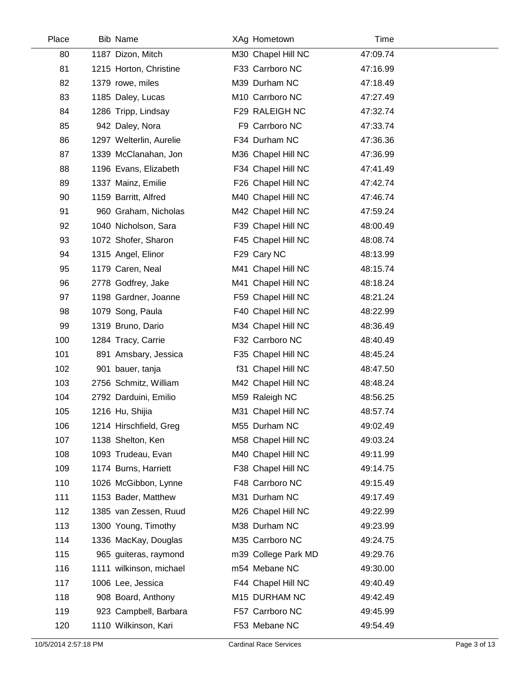| Place | Bib Name                | XAg Hometown        | Time     |  |
|-------|-------------------------|---------------------|----------|--|
| 80    | 1187 Dizon, Mitch       | M30 Chapel Hill NC  | 47:09.74 |  |
| 81    | 1215 Horton, Christine  | F33 Carrboro NC     | 47:16.99 |  |
| 82    | 1379 rowe, miles        | M39 Durham NC       | 47:18.49 |  |
| 83    | 1185 Daley, Lucas       | M10 Carrboro NC     | 47:27.49 |  |
| 84    | 1286 Tripp, Lindsay     | F29 RALEIGH NC      | 47:32.74 |  |
| 85    | 942 Daley, Nora         | F9 Carrboro NC      | 47:33.74 |  |
| 86    | 1297 Welterlin, Aurelie | F34 Durham NC       | 47:36.36 |  |
| 87    | 1339 McClanahan, Jon    | M36 Chapel Hill NC  | 47:36.99 |  |
| 88    | 1196 Evans, Elizabeth   | F34 Chapel Hill NC  | 47:41.49 |  |
| 89    | 1337 Mainz, Emilie      | F26 Chapel Hill NC  | 47:42.74 |  |
| 90    | 1159 Barritt, Alfred    | M40 Chapel Hill NC  | 47:46.74 |  |
| 91    | 960 Graham, Nicholas    | M42 Chapel Hill NC  | 47:59.24 |  |
| 92    | 1040 Nicholson, Sara    | F39 Chapel Hill NC  | 48:00.49 |  |
| 93    | 1072 Shofer, Sharon     | F45 Chapel Hill NC  | 48:08.74 |  |
| 94    | 1315 Angel, Elinor      | F29 Cary NC         | 48:13.99 |  |
| 95    | 1179 Caren, Neal        | M41 Chapel Hill NC  | 48:15.74 |  |
| 96    | 2778 Godfrey, Jake      | M41 Chapel Hill NC  | 48:18.24 |  |
| 97    | 1198 Gardner, Joanne    | F59 Chapel Hill NC  | 48:21.24 |  |
| 98    | 1079 Song, Paula        | F40 Chapel Hill NC  | 48:22.99 |  |
| 99    | 1319 Bruno, Dario       | M34 Chapel Hill NC  | 48:36.49 |  |
| 100   | 1284 Tracy, Carrie      | F32 Carrboro NC     | 48:40.49 |  |
| 101   | 891 Amsbary, Jessica    | F35 Chapel Hill NC  | 48:45.24 |  |
| 102   | 901 bauer, tanja        | f31 Chapel Hill NC  | 48:47.50 |  |
| 103   | 2756 Schmitz, William   | M42 Chapel Hill NC  | 48:48.24 |  |
| 104   | 2792 Darduini, Emilio   | M59 Raleigh NC      | 48:56.25 |  |
| 105   | 1216 Hu, Shijia         | M31 Chapel Hill NC  | 48:57.74 |  |
| 106   | 1214 Hirschfield, Greg  | M55 Durham NC       | 49:02.49 |  |
| 107   | 1138 Shelton, Ken       | M58 Chapel Hill NC  | 49:03.24 |  |
| 108   | 1093 Trudeau, Evan      | M40 Chapel Hill NC  | 49:11.99 |  |
| 109   | 1174 Burns, Harriett    | F38 Chapel Hill NC  | 49:14.75 |  |
| 110   | 1026 McGibbon, Lynne    | F48 Carrboro NC     | 49:15.49 |  |
| 111   | 1153 Bader, Matthew     | M31 Durham NC       | 49:17.49 |  |
| 112   | 1385 van Zessen, Ruud   | M26 Chapel Hill NC  | 49:22.99 |  |
| 113   | 1300 Young, Timothy     | M38 Durham NC       | 49:23.99 |  |
| 114   | 1336 MacKay, Douglas    | M35 Carrboro NC     | 49:24.75 |  |
| 115   | 965 guiteras, raymond   | m39 College Park MD | 49:29.76 |  |
| 116   | 1111 wilkinson, michael | m54 Mebane NC       | 49:30.00 |  |
| 117   | 1006 Lee, Jessica       | F44 Chapel Hill NC  | 49:40.49 |  |
| 118   | 908 Board, Anthony      | M15 DURHAM NC       | 49:42.49 |  |
| 119   | 923 Campbell, Barbara   | F57 Carrboro NC     | 49:45.99 |  |
| 120   | 1110 Wilkinson, Kari    | F53 Mebane NC       | 49:54.49 |  |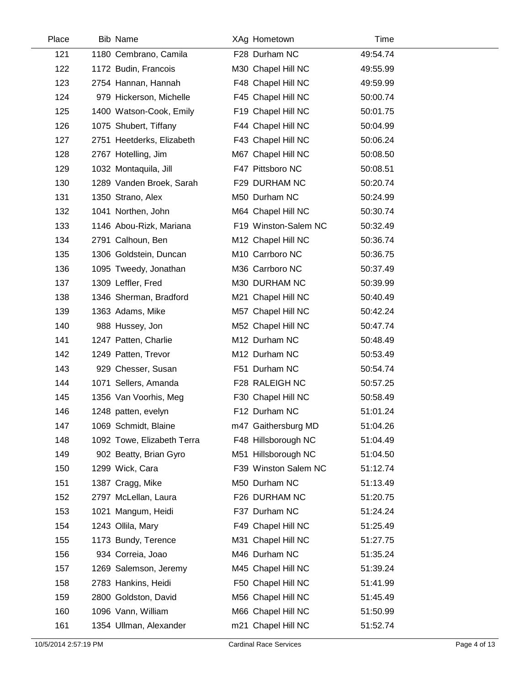| Place | <b>Bib Name</b>            | XAg Hometown         | Time     |  |
|-------|----------------------------|----------------------|----------|--|
| 121   | 1180 Cembrano, Camila      | F28 Durham NC        | 49:54.74 |  |
| 122   | 1172 Budin, Francois       | M30 Chapel Hill NC   | 49:55.99 |  |
| 123   | 2754 Hannan, Hannah        | F48 Chapel Hill NC   | 49:59.99 |  |
| 124   | 979 Hickerson, Michelle    | F45 Chapel Hill NC   | 50:00.74 |  |
| 125   | 1400 Watson-Cook, Emily    | F19 Chapel Hill NC   | 50:01.75 |  |
| 126   | 1075 Shubert, Tiffany      | F44 Chapel Hill NC   | 50:04.99 |  |
| 127   | 2751 Heetderks, Elizabeth  | F43 Chapel Hill NC   | 50:06.24 |  |
| 128   | 2767 Hotelling, Jim        | M67 Chapel Hill NC   | 50:08.50 |  |
| 129   | 1032 Montaquila, Jill      | F47 Pittsboro NC     | 50:08.51 |  |
| 130   | 1289 Vanden Broek, Sarah   | F29 DURHAM NC        | 50:20.74 |  |
| 131   | 1350 Strano, Alex          | M50 Durham NC        | 50:24.99 |  |
| 132   | 1041 Northen, John         | M64 Chapel Hill NC   | 50:30.74 |  |
| 133   | 1146 Abou-Rizk, Mariana    | F19 Winston-Salem NC | 50:32.49 |  |
| 134   | 2791 Calhoun, Ben          | M12 Chapel Hill NC   | 50:36.74 |  |
| 135   | 1306 Goldstein, Duncan     | M10 Carrboro NC      | 50:36.75 |  |
| 136   | 1095 Tweedy, Jonathan      | M36 Carrboro NC      | 50:37.49 |  |
| 137   | 1309 Leffler, Fred         | M30 DURHAM NC        | 50:39.99 |  |
| 138   | 1346 Sherman, Bradford     | M21 Chapel Hill NC   | 50:40.49 |  |
| 139   | 1363 Adams, Mike           | M57 Chapel Hill NC   | 50:42.24 |  |
| 140   | 988 Hussey, Jon            | M52 Chapel Hill NC   | 50:47.74 |  |
| 141   | 1247 Patten, Charlie       | M12 Durham NC        | 50:48.49 |  |
| 142   | 1249 Patten, Trevor        | M12 Durham NC        | 50:53.49 |  |
| 143   | 929 Chesser, Susan         | F51 Durham NC        | 50:54.74 |  |
| 144   | 1071 Sellers, Amanda       | F28 RALEIGH NC       | 50:57.25 |  |
| 145   | 1356 Van Voorhis, Meg      | F30 Chapel Hill NC   | 50:58.49 |  |
| 146   | 1248 patten, evelyn        | F12 Durham NC        | 51:01.24 |  |
| 147   | 1069 Schmidt, Blaine       | m47 Gaithersburg MD  | 51:04.26 |  |
| 148   | 1092 Towe, Elizabeth Terra | F48 Hillsborough NC  | 51:04.49 |  |
| 149   | 902 Beatty, Brian Gyro     | M51 Hillsborough NC  | 51:04.50 |  |
| 150   | 1299 Wick, Cara            | F39 Winston Salem NC | 51:12.74 |  |
| 151   | 1387 Cragg, Mike           | M50 Durham NC        | 51:13.49 |  |
| 152   | 2797 McLellan, Laura       | F26 DURHAM NC        | 51:20.75 |  |
| 153   | 1021 Mangum, Heidi         | F37 Durham NC        | 51:24.24 |  |
| 154   | 1243 Ollila, Mary          | F49 Chapel Hill NC   | 51:25.49 |  |
| 155   | 1173 Bundy, Terence        | M31 Chapel Hill NC   | 51:27.75 |  |
| 156   | 934 Correia, Joao          | M46 Durham NC        | 51:35.24 |  |
| 157   | 1269 Salemson, Jeremy      | M45 Chapel Hill NC   | 51:39.24 |  |
| 158   | 2783 Hankins, Heidi        | F50 Chapel Hill NC   | 51:41.99 |  |
| 159   | 2800 Goldston, David       | M56 Chapel Hill NC   | 51:45.49 |  |
| 160   | 1096 Vann, William         | M66 Chapel Hill NC   | 51:50.99 |  |
| 161   | 1354 Ullman, Alexander     | m21 Chapel Hill NC   | 51:52.74 |  |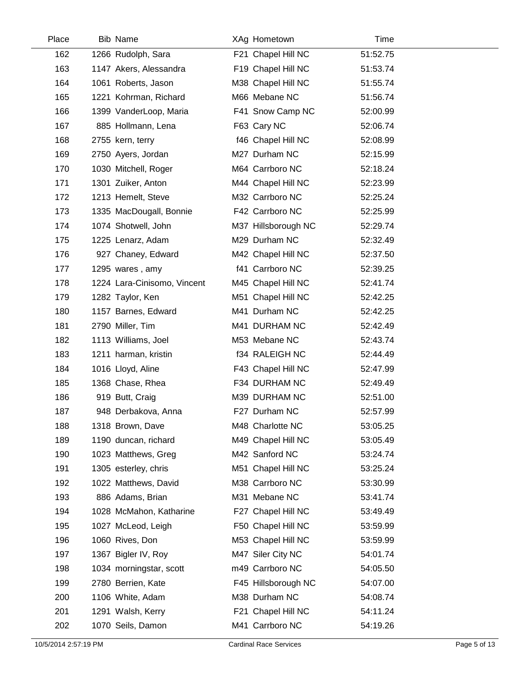| Place | <b>Bib Name</b>             | XAg Hometown        | Time     |  |
|-------|-----------------------------|---------------------|----------|--|
| 162   | 1266 Rudolph, Sara          | F21 Chapel Hill NC  | 51:52.75 |  |
| 163   | 1147 Akers, Alessandra      | F19 Chapel Hill NC  | 51:53.74 |  |
| 164   | 1061 Roberts, Jason         | M38 Chapel Hill NC  | 51:55.74 |  |
| 165   | 1221 Kohrman, Richard       | M66 Mebane NC       | 51:56.74 |  |
| 166   | 1399 VanderLoop, Maria      | F41 Snow Camp NC    | 52:00.99 |  |
| 167   | 885 Hollmann, Lena          | F63 Cary NC         | 52:06.74 |  |
| 168   | 2755 kern, terry            | f46 Chapel Hill NC  | 52:08.99 |  |
| 169   | 2750 Ayers, Jordan          | M27 Durham NC       | 52:15.99 |  |
| 170   | 1030 Mitchell, Roger        | M64 Carrboro NC     | 52:18.24 |  |
| 171   | 1301 Zuiker, Anton          | M44 Chapel Hill NC  | 52:23.99 |  |
| 172   | 1213 Hemelt, Steve          | M32 Carrboro NC     | 52:25.24 |  |
| 173   | 1335 MacDougall, Bonnie     | F42 Carrboro NC     | 52:25.99 |  |
| 174   | 1074 Shotwell, John         | M37 Hillsborough NC | 52:29.74 |  |
| 175   | 1225 Lenarz, Adam           | M29 Durham NC       | 52:32.49 |  |
| 176   | 927 Chaney, Edward          | M42 Chapel Hill NC  | 52:37.50 |  |
| 177   | 1295 wares, amy             | f41 Carrboro NC     | 52:39.25 |  |
| 178   | 1224 Lara-Cinisomo, Vincent | M45 Chapel Hill NC  | 52:41.74 |  |
| 179   | 1282 Taylor, Ken            | M51 Chapel Hill NC  | 52:42.25 |  |
| 180   | 1157 Barnes, Edward         | M41 Durham NC       | 52:42.25 |  |
| 181   | 2790 Miller, Tim            | M41 DURHAM NC       | 52:42.49 |  |
| 182   | 1113 Williams, Joel         | M53 Mebane NC       | 52:43.74 |  |
| 183   | 1211 harman, kristin        | f34 RALEIGH NC      | 52:44.49 |  |
| 184   | 1016 Lloyd, Aline           | F43 Chapel Hill NC  | 52:47.99 |  |
| 185   | 1368 Chase, Rhea            | F34 DURHAM NC       | 52:49.49 |  |
| 186   | 919 Butt, Craig             | M39 DURHAM NC       | 52:51.00 |  |
| 187   | 948 Derbakova, Anna         | F27 Durham NC       | 52:57.99 |  |
| 188   | 1318 Brown, Dave            | M48 Charlotte NC    | 53:05.25 |  |
| 189   | 1190 duncan, richard        | M49 Chapel Hill NC  | 53:05.49 |  |
| 190   | 1023 Matthews, Greg         | M42 Sanford NC      | 53:24.74 |  |
| 191   | 1305 esterley, chris        | M51 Chapel Hill NC  | 53:25.24 |  |
| 192   | 1022 Matthews, David        | M38 Carrboro NC     | 53:30.99 |  |
| 193   | 886 Adams, Brian            | M31 Mebane NC       | 53:41.74 |  |
| 194   | 1028 McMahon, Katharine     | F27 Chapel Hill NC  | 53:49.49 |  |
| 195   | 1027 McLeod, Leigh          | F50 Chapel Hill NC  | 53:59.99 |  |
| 196   | 1060 Rives, Don             | M53 Chapel Hill NC  | 53:59.99 |  |
| 197   | 1367 Bigler IV, Roy         | M47 Siler City NC   | 54:01.74 |  |
| 198   | 1034 morningstar, scott     | m49 Carrboro NC     | 54:05.50 |  |
| 199   | 2780 Berrien, Kate          | F45 Hillsborough NC | 54:07.00 |  |
| 200   | 1106 White, Adam            | M38 Durham NC       | 54:08.74 |  |
| 201   | 1291 Walsh, Kerry           | F21 Chapel Hill NC  | 54:11.24 |  |
| 202   | 1070 Seils, Damon           | M41 Carrboro NC     | 54:19.26 |  |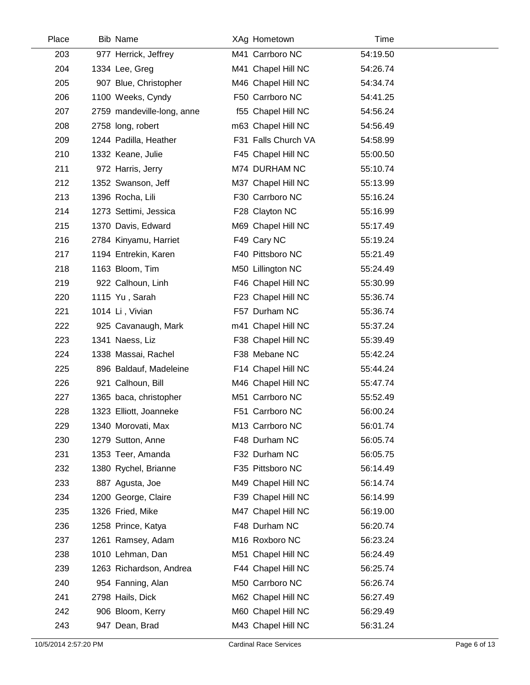| Place | <b>Bib Name</b>            | XAg Hometown        | Time     |  |
|-------|----------------------------|---------------------|----------|--|
| 203   | 977 Herrick, Jeffrey       | M41 Carrboro NC     | 54:19.50 |  |
| 204   | 1334 Lee, Greg             | M41 Chapel Hill NC  | 54:26.74 |  |
| 205   | 907 Blue, Christopher      | M46 Chapel Hill NC  | 54:34.74 |  |
| 206   | 1100 Weeks, Cyndy          | F50 Carrboro NC     | 54:41.25 |  |
| 207   | 2759 mandeville-long, anne | f55 Chapel Hill NC  | 54:56.24 |  |
| 208   | 2758 long, robert          | m63 Chapel Hill NC  | 54:56.49 |  |
| 209   | 1244 Padilla, Heather      | F31 Falls Church VA | 54:58.99 |  |
| 210   | 1332 Keane, Julie          | F45 Chapel Hill NC  | 55:00.50 |  |
| 211   | 972 Harris, Jerry          | M74 DURHAM NC       | 55:10.74 |  |
| 212   | 1352 Swanson, Jeff         | M37 Chapel Hill NC  | 55:13.99 |  |
| 213   | 1396 Rocha, Lili           | F30 Carrboro NC     | 55:16.24 |  |
| 214   | 1273 Settimi, Jessica      | F28 Clayton NC      | 55:16.99 |  |
| 215   | 1370 Davis, Edward         | M69 Chapel Hill NC  | 55:17.49 |  |
| 216   | 2784 Kinyamu, Harriet      | F49 Cary NC         | 55:19.24 |  |
| 217   | 1194 Entrekin, Karen       | F40 Pittsboro NC    | 55:21.49 |  |
| 218   | 1163 Bloom, Tim            | M50 Lillington NC   | 55:24.49 |  |
| 219   | 922 Calhoun, Linh          | F46 Chapel Hill NC  | 55:30.99 |  |
| 220   | 1115 Yu, Sarah             | F23 Chapel Hill NC  | 55:36.74 |  |
| 221   | 1014 Li, Vivian            | F57 Durham NC       | 55:36.74 |  |
| 222   | 925 Cavanaugh, Mark        | m41 Chapel Hill NC  | 55:37.24 |  |
| 223   | 1341 Naess, Liz            | F38 Chapel Hill NC  | 55:39.49 |  |
| 224   | 1338 Massai, Rachel        | F38 Mebane NC       | 55:42.24 |  |
| 225   | 896 Baldauf, Madeleine     | F14 Chapel Hill NC  | 55:44.24 |  |
| 226   | 921 Calhoun, Bill          | M46 Chapel Hill NC  | 55:47.74 |  |
| 227   | 1365 baca, christopher     | M51 Carrboro NC     | 55:52.49 |  |
| 228   | 1323 Elliott, Joanneke     | F51 Carrboro NC     | 56:00.24 |  |
| 229   | 1340 Morovati, Max         | M13 Carrboro NC     | 56:01.74 |  |
| 230   | 1279 Sutton, Anne          | F48 Durham NC       | 56:05.74 |  |
| 231   | 1353 Teer, Amanda          | F32 Durham NC       | 56:05.75 |  |
| 232   | 1380 Rychel, Brianne       | F35 Pittsboro NC    | 56:14.49 |  |
| 233   | 887 Agusta, Joe            | M49 Chapel Hill NC  | 56:14.74 |  |
| 234   | 1200 George, Claire        | F39 Chapel Hill NC  | 56:14.99 |  |
| 235   | 1326 Fried, Mike           | M47 Chapel Hill NC  | 56:19.00 |  |
| 236   | 1258 Prince, Katya         | F48 Durham NC       | 56:20.74 |  |
| 237   | 1261 Ramsey, Adam          | M16 Roxboro NC      | 56:23.24 |  |
| 238   | 1010 Lehman, Dan           | M51 Chapel Hill NC  | 56:24.49 |  |
| 239   | 1263 Richardson, Andrea    | F44 Chapel Hill NC  | 56:25.74 |  |
| 240   | 954 Fanning, Alan          | M50 Carrboro NC     | 56:26.74 |  |
| 241   | 2798 Hails, Dick           | M62 Chapel Hill NC  | 56:27.49 |  |
| 242   | 906 Bloom, Kerry           | M60 Chapel Hill NC  | 56:29.49 |  |
| 243   | 947 Dean, Brad             | M43 Chapel Hill NC  | 56:31.24 |  |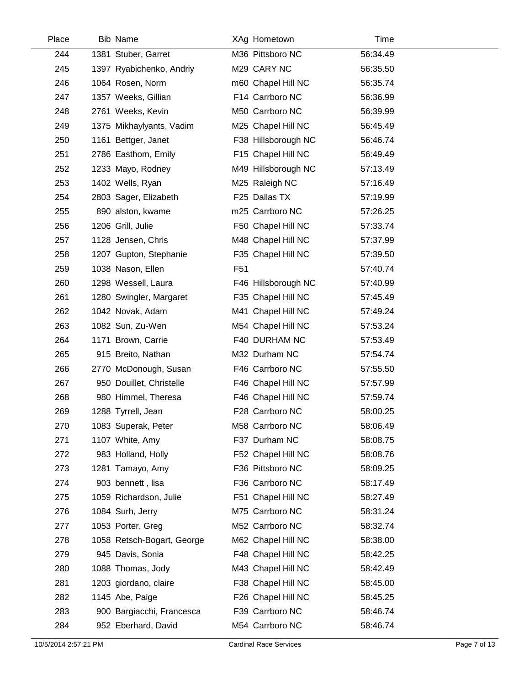| Place | Bib Name                   | XAg Hometown        | Time     |  |
|-------|----------------------------|---------------------|----------|--|
| 244   | 1381 Stuber, Garret        | M36 Pittsboro NC    | 56:34.49 |  |
| 245   | 1397 Ryabichenko, Andriy   | M29 CARY NC         | 56:35.50 |  |
| 246   | 1064 Rosen, Norm           | m60 Chapel Hill NC  | 56:35.74 |  |
| 247   | 1357 Weeks, Gillian        | F14 Carrboro NC     | 56:36.99 |  |
| 248   | 2761 Weeks, Kevin          | M50 Carrboro NC     | 56:39.99 |  |
| 249   | 1375 Mikhaylyants, Vadim   | M25 Chapel Hill NC  | 56:45.49 |  |
| 250   | 1161 Bettger, Janet        | F38 Hillsborough NC | 56:46.74 |  |
| 251   | 2786 Easthom, Emily        | F15 Chapel Hill NC  | 56:49.49 |  |
| 252   | 1233 Mayo, Rodney          | M49 Hillsborough NC | 57:13.49 |  |
| 253   | 1402 Wells, Ryan           | M25 Raleigh NC      | 57:16.49 |  |
| 254   | 2803 Sager, Elizabeth      | F25 Dallas TX       | 57:19.99 |  |
| 255   | 890 alston, kwame          | m25 Carrboro NC     | 57:26.25 |  |
| 256   | 1206 Grill, Julie          | F50 Chapel Hill NC  | 57:33.74 |  |
| 257   | 1128 Jensen, Chris         | M48 Chapel Hill NC  | 57:37.99 |  |
| 258   | 1207 Gupton, Stephanie     | F35 Chapel Hill NC  | 57:39.50 |  |
| 259   | 1038 Nason, Ellen          | F <sub>51</sub>     | 57:40.74 |  |
| 260   | 1298 Wessell, Laura        | F46 Hillsborough NC | 57:40.99 |  |
| 261   | 1280 Swingler, Margaret    | F35 Chapel Hill NC  | 57:45.49 |  |
| 262   | 1042 Novak, Adam           | M41 Chapel Hill NC  | 57:49.24 |  |
| 263   | 1082 Sun, Zu-Wen           | M54 Chapel Hill NC  | 57:53.24 |  |
| 264   | 1171 Brown, Carrie         | F40 DURHAM NC       | 57:53.49 |  |
| 265   | 915 Breito, Nathan         | M32 Durham NC       | 57:54.74 |  |
| 266   | 2770 McDonough, Susan      | F46 Carrboro NC     | 57:55.50 |  |
| 267   | 950 Douillet, Christelle   | F46 Chapel Hill NC  | 57:57.99 |  |
| 268   | 980 Himmel, Theresa        | F46 Chapel Hill NC  | 57:59.74 |  |
| 269   | 1288 Tyrrell, Jean         | F28 Carrboro NC     | 58:00.25 |  |
| 270   | 1083 Superak, Peter        | M58 Carrboro NC     | 58:06.49 |  |
| 271   | 1107 White, Amy            | F37 Durham NC       | 58:08.75 |  |
| 272   | 983 Holland, Holly         | F52 Chapel Hill NC  | 58:08.76 |  |
| 273   | 1281 Tamayo, Amy           | F36 Pittsboro NC    | 58:09.25 |  |
| 274   | 903 bennett, lisa          | F36 Carrboro NC     | 58:17.49 |  |
| 275   | 1059 Richardson, Julie     | F51 Chapel Hill NC  | 58:27.49 |  |
| 276   | 1084 Surh, Jerry           | M75 Carrboro NC     | 58:31.24 |  |
| 277   | 1053 Porter, Greg          | M52 Carrboro NC     | 58:32.74 |  |
| 278   | 1058 Retsch-Bogart, George | M62 Chapel Hill NC  | 58:38.00 |  |
| 279   | 945 Davis, Sonia           | F48 Chapel Hill NC  | 58:42.25 |  |
| 280   | 1088 Thomas, Jody          | M43 Chapel Hill NC  | 58:42.49 |  |
| 281   | 1203 giordano, claire      | F38 Chapel Hill NC  | 58:45.00 |  |
| 282   | 1145 Abe, Paige            | F26 Chapel Hill NC  | 58:45.25 |  |
| 283   | 900 Bargiacchi, Francesca  | F39 Carrboro NC     | 58:46.74 |  |
| 284   | 952 Eberhard, David        | M54 Carrboro NC     | 58:46.74 |  |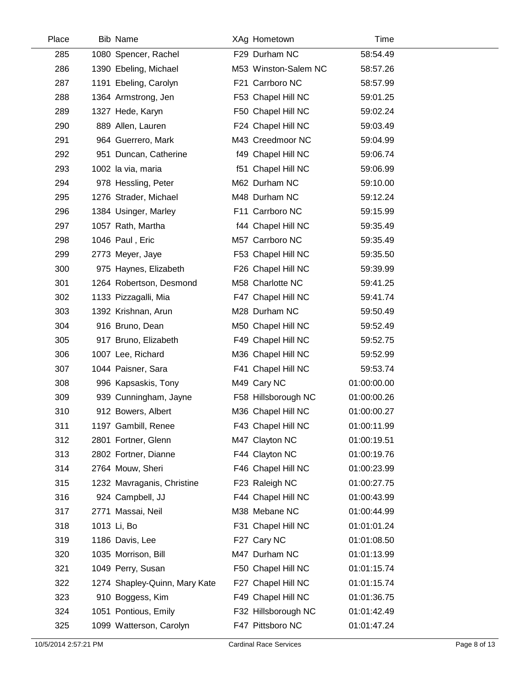| Place | <b>Bib Name</b>               | XAg Hometown         | Time        |  |
|-------|-------------------------------|----------------------|-------------|--|
| 285   | 1080 Spencer, Rachel          | F29 Durham NC        | 58:54.49    |  |
| 286   | 1390 Ebeling, Michael         | M53 Winston-Salem NC | 58:57.26    |  |
| 287   | 1191 Ebeling, Carolyn         | F21 Carrboro NC      | 58:57.99    |  |
| 288   | 1364 Armstrong, Jen           | F53 Chapel Hill NC   | 59:01.25    |  |
| 289   | 1327 Hede, Karyn              | F50 Chapel Hill NC   | 59:02.24    |  |
| 290   | 889 Allen, Lauren             | F24 Chapel Hill NC   | 59:03.49    |  |
| 291   | 964 Guerrero, Mark            | M43 Creedmoor NC     | 59:04.99    |  |
| 292   | 951 Duncan, Catherine         | f49 Chapel Hill NC   | 59:06.74    |  |
| 293   | 1002 la via, maria            | f51 Chapel Hill NC   | 59:06.99    |  |
| 294   | 978 Hessling, Peter           | M62 Durham NC        | 59:10.00    |  |
| 295   | 1276 Strader, Michael         | M48 Durham NC        | 59:12.24    |  |
| 296   | 1384 Usinger, Marley          | F11 Carrboro NC      | 59:15.99    |  |
| 297   | 1057 Rath, Martha             | f44 Chapel Hill NC   | 59:35.49    |  |
| 298   | 1046 Paul, Eric               | M57 Carrboro NC      | 59:35.49    |  |
| 299   | 2773 Meyer, Jaye              | F53 Chapel Hill NC   | 59:35.50    |  |
| 300   | 975 Haynes, Elizabeth         | F26 Chapel Hill NC   | 59:39.99    |  |
| 301   | 1264 Robertson, Desmond       | M58 Charlotte NC     | 59:41.25    |  |
| 302   | 1133 Pizzagalli, Mia          | F47 Chapel Hill NC   | 59:41.74    |  |
| 303   | 1392 Krishnan, Arun           | M28 Durham NC        | 59:50.49    |  |
| 304   | 916 Bruno, Dean               | M50 Chapel Hill NC   | 59:52.49    |  |
| 305   | 917 Bruno, Elizabeth          | F49 Chapel Hill NC   | 59:52.75    |  |
| 306   | 1007 Lee, Richard             | M36 Chapel Hill NC   | 59:52.99    |  |
| 307   | 1044 Paisner, Sara            | F41 Chapel Hill NC   | 59:53.74    |  |
| 308   | 996 Kapsaskis, Tony           | M49 Cary NC          | 01:00:00.00 |  |
| 309   | 939 Cunningham, Jayne         | F58 Hillsborough NC  | 01:00:00.26 |  |
| 310   | 912 Bowers, Albert            | M36 Chapel Hill NC   | 01:00:00.27 |  |
| 311   | 1197 Gambill, Renee           | F43 Chapel Hill NC   | 01:00:11.99 |  |
| 312   | 2801 Fortner, Glenn           | M47 Clayton NC       | 01:00:19.51 |  |
| 313   | 2802 Fortner, Dianne          | F44 Clayton NC       | 01:00:19.76 |  |
| 314   | 2764 Mouw, Sheri              | F46 Chapel Hill NC   | 01:00:23.99 |  |
| 315   | 1232 Mavraganis, Christine    | F23 Raleigh NC       | 01:00:27.75 |  |
| 316   | 924 Campbell, JJ              | F44 Chapel Hill NC   | 01:00:43.99 |  |
| 317   | 2771 Massai, Neil             | M38 Mebane NC        | 01:00:44.99 |  |
| 318   | 1013 Li, Bo                   | F31 Chapel Hill NC   | 01:01:01.24 |  |
| 319   | 1186 Davis, Lee               | F27 Cary NC          | 01:01:08.50 |  |
| 320   | 1035 Morrison, Bill           | M47 Durham NC        | 01:01:13.99 |  |
| 321   | 1049 Perry, Susan             | F50 Chapel Hill NC   | 01:01:15.74 |  |
| 322   | 1274 Shapley-Quinn, Mary Kate | F27 Chapel Hill NC   | 01:01:15.74 |  |
| 323   | 910 Boggess, Kim              | F49 Chapel Hill NC   | 01:01:36.75 |  |
| 324   | 1051 Pontious, Emily          | F32 Hillsborough NC  | 01:01:42.49 |  |
| 325   | 1099 Watterson, Carolyn       | F47 Pittsboro NC     | 01:01:47.24 |  |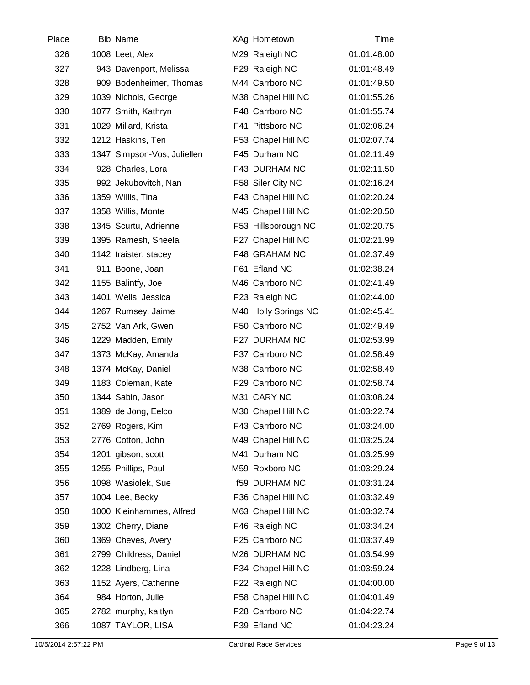| Place | <b>Bib Name</b>             | XAg Hometown         | Time        |  |
|-------|-----------------------------|----------------------|-------------|--|
| 326   | 1008 Leet, Alex             | M29 Raleigh NC       | 01:01:48.00 |  |
| 327   | 943 Davenport, Melissa      | F29 Raleigh NC       | 01:01:48.49 |  |
| 328   | 909 Bodenheimer, Thomas     | M44 Carrboro NC      | 01:01:49.50 |  |
| 329   | 1039 Nichols, George        | M38 Chapel Hill NC   | 01:01:55.26 |  |
| 330   | 1077 Smith, Kathryn         | F48 Carrboro NC      | 01:01:55.74 |  |
| 331   | 1029 Millard, Krista        | F41 Pittsboro NC     | 01:02:06.24 |  |
| 332   | 1212 Haskins, Teri          | F53 Chapel Hill NC   | 01:02:07.74 |  |
| 333   | 1347 Simpson-Vos, Juliellen | F45 Durham NC        | 01:02:11.49 |  |
| 334   | 928 Charles, Lora           | F43 DURHAM NC        | 01:02:11.50 |  |
| 335   | 992 Jekubovitch, Nan        | F58 Siler City NC    | 01:02:16.24 |  |
| 336   | 1359 Willis, Tina           | F43 Chapel Hill NC   | 01:02:20.24 |  |
| 337   | 1358 Willis, Monte          | M45 Chapel Hill NC   | 01:02:20.50 |  |
| 338   | 1345 Scurtu, Adrienne       | F53 Hillsborough NC  | 01:02:20.75 |  |
| 339   | 1395 Ramesh, Sheela         | F27 Chapel Hill NC   | 01:02:21.99 |  |
| 340   | 1142 traister, stacey       | F48 GRAHAM NC        | 01:02:37.49 |  |
| 341   | 911 Boone, Joan             | F61 Efland NC        | 01:02:38.24 |  |
| 342   | 1155 Balintfy, Joe          | M46 Carrboro NC      | 01:02:41.49 |  |
| 343   | 1401 Wells, Jessica         | F23 Raleigh NC       | 01:02:44.00 |  |
| 344   | 1267 Rumsey, Jaime          | M40 Holly Springs NC | 01:02:45.41 |  |
| 345   | 2752 Van Ark, Gwen          | F50 Carrboro NC      | 01:02:49.49 |  |
| 346   | 1229 Madden, Emily          | F27 DURHAM NC        | 01:02:53.99 |  |
| 347   | 1373 McKay, Amanda          | F37 Carrboro NC      | 01:02:58.49 |  |
| 348   | 1374 McKay, Daniel          | M38 Carrboro NC      | 01:02:58.49 |  |
| 349   | 1183 Coleman, Kate          | F29 Carrboro NC      | 01:02:58.74 |  |
| 350   | 1344 Sabin, Jason           | M31 CARY NC          | 01:03:08.24 |  |
| 351   | 1389 de Jong, Eelco         | M30 Chapel Hill NC   | 01:03:22.74 |  |
| 352   | 2769 Rogers, Kim            | F43 Carrboro NC      | 01:03:24.00 |  |
| 353   | 2776 Cotton, John           | M49 Chapel Hill NC   | 01:03:25.24 |  |
| 354   | 1201 gibson, scott          | M41 Durham NC        | 01:03:25.99 |  |
| 355   | 1255 Phillips, Paul         | M59 Roxboro NC       | 01:03:29.24 |  |
| 356   | 1098 Wasiolek, Sue          | <b>f59 DURHAM NC</b> | 01:03:31.24 |  |
| 357   | 1004 Lee, Becky             | F36 Chapel Hill NC   | 01:03:32.49 |  |
| 358   | 1000 Kleinhammes, Alfred    | M63 Chapel Hill NC   | 01:03:32.74 |  |
| 359   | 1302 Cherry, Diane          | F46 Raleigh NC       | 01:03:34.24 |  |
| 360   | 1369 Cheves, Avery          | F25 Carrboro NC      | 01:03:37.49 |  |
| 361   | 2799 Childress, Daniel      | M26 DURHAM NC        | 01:03:54.99 |  |
| 362   | 1228 Lindberg, Lina         | F34 Chapel Hill NC   | 01:03:59.24 |  |
| 363   | 1152 Ayers, Catherine       | F22 Raleigh NC       | 01:04:00.00 |  |
| 364   | 984 Horton, Julie           | F58 Chapel Hill NC   | 01:04:01.49 |  |
| 365   | 2782 murphy, kaitlyn        | F28 Carrboro NC      | 01:04:22.74 |  |
| 366   | 1087 TAYLOR, LISA           | F39 Efland NC        | 01:04:23.24 |  |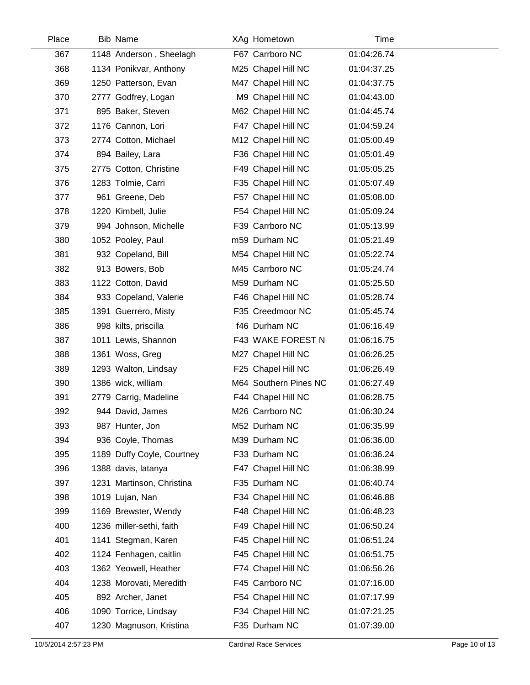| Place | <b>Bib Name</b>            | XAg Hometown          | Time        |  |
|-------|----------------------------|-----------------------|-------------|--|
| 367   | 1148 Anderson, Sheelagh    | F67 Carrboro NC       | 01:04:26.74 |  |
| 368   | 1134 Ponikvar, Anthony     | M25 Chapel Hill NC    | 01:04:37.25 |  |
| 369   | 1250 Patterson, Evan       | M47 Chapel Hill NC    | 01:04:37.75 |  |
| 370   | 2777 Godfrey, Logan        | M9 Chapel Hill NC     | 01:04:43.00 |  |
| 371   | 895 Baker, Steven          | M62 Chapel Hill NC    | 01:04:45.74 |  |
| 372   | 1176 Cannon, Lori          | F47 Chapel Hill NC    | 01:04:59.24 |  |
| 373   | 2774 Cotton, Michael       | M12 Chapel Hill NC    | 01:05:00.49 |  |
| 374   | 894 Bailey, Lara           | F36 Chapel Hill NC    | 01:05:01.49 |  |
| 375   | 2775 Cotton, Christine     | F49 Chapel Hill NC    | 01:05:05.25 |  |
| 376   | 1283 Tolmie, Carri         | F35 Chapel Hill NC    | 01:05:07.49 |  |
| 377   | 961 Greene, Deb            | F57 Chapel Hill NC    | 01:05:08.00 |  |
| 378   | 1220 Kimbell, Julie        | F54 Chapel Hill NC    | 01:05:09.24 |  |
| 379   | 994 Johnson, Michelle      | F39 Carrboro NC       | 01:05:13.99 |  |
| 380   | 1052 Pooley, Paul          | m59 Durham NC         | 01:05:21.49 |  |
| 381   | 932 Copeland, Bill         | M54 Chapel Hill NC    | 01:05:22.74 |  |
| 382   | 913 Bowers, Bob            | M45 Carrboro NC       | 01:05:24.74 |  |
| 383   | 1122 Cotton, David         | M59 Durham NC         | 01:05:25.50 |  |
| 384   | 933 Copeland, Valerie      | F46 Chapel Hill NC    | 01:05:28.74 |  |
| 385   | 1391 Guerrero, Misty       | F35 Creedmoor NC      | 01:05:45.74 |  |
| 386   | 998 kilts, priscilla       | f46 Durham NC         | 01:06:16.49 |  |
| 387   | 1011 Lewis, Shannon        | F43 WAKE FOREST N     | 01:06:16.75 |  |
| 388   | 1361 Woss, Greg            | M27 Chapel Hill NC    | 01:06:26.25 |  |
| 389   | 1293 Walton, Lindsay       | F25 Chapel Hill NC    | 01:06:26.49 |  |
| 390   | 1386 wick, william         | M64 Southern Pines NC | 01:06:27.49 |  |
| 391   | 2779 Carrig, Madeline      | F44 Chapel Hill NC    | 01:06:28.75 |  |
| 392   | 944 David, James           | M26 Carrboro NC       | 01:06:30.24 |  |
| 393   | 987 Hunter, Jon            | M52 Durham NC         | 01:06:35.99 |  |
| 394   | 936 Coyle, Thomas          | M39 Durham NC         | 01:06:36.00 |  |
| 395   | 1189 Duffy Coyle, Courtney | F33 Durham NC         | 01:06:36.24 |  |
| 396   | 1388 davis, latanya        | F47 Chapel Hill NC    | 01:06:38.99 |  |
| 397   | 1231 Martinson, Christina  | F35 Durham NC         | 01:06:40.74 |  |
| 398   | 1019 Lujan, Nan            | F34 Chapel Hill NC    | 01:06:46.88 |  |
| 399   | 1169 Brewster, Wendy       | F48 Chapel Hill NC    | 01:06:48.23 |  |
| 400   | 1236 miller-sethi, faith   | F49 Chapel Hill NC    | 01:06:50.24 |  |
| 401   | 1141 Stegman, Karen        | F45 Chapel Hill NC    | 01:06:51.24 |  |
| 402   | 1124 Fenhagen, caitlin     | F45 Chapel Hill NC    | 01:06:51.75 |  |
| 403   | 1362 Yeowell, Heather      | F74 Chapel Hill NC    | 01:06:56.26 |  |
| 404   | 1238 Morovati, Meredith    | F45 Carrboro NC       | 01:07:16.00 |  |
| 405   | 892 Archer, Janet          | F54 Chapel Hill NC    | 01:07:17.99 |  |
| 406   | 1090 Torrice, Lindsay      | F34 Chapel Hill NC    | 01:07:21.25 |  |
| 407   | 1230 Magnuson, Kristina    | F35 Durham NC         | 01:07:39.00 |  |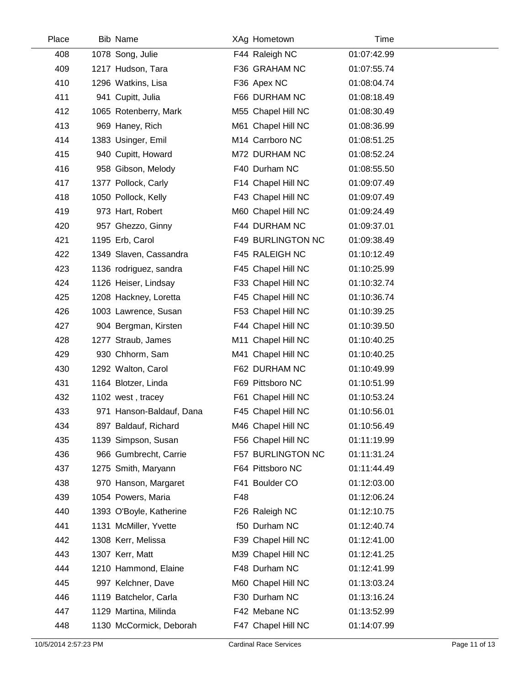| Place | <b>Bib Name</b>          |     | XAg Hometown             | Time        |  |
|-------|--------------------------|-----|--------------------------|-------------|--|
| 408   | 1078 Song, Julie         |     | F44 Raleigh NC           | 01:07:42.99 |  |
| 409   | 1217 Hudson, Tara        |     | F36 GRAHAM NC            | 01:07:55.74 |  |
| 410   | 1296 Watkins, Lisa       |     | F36 Apex NC              | 01:08:04.74 |  |
| 411   | 941 Cupitt, Julia        |     | F66 DURHAM NC            | 01:08:18.49 |  |
| 412   | 1065 Rotenberry, Mark    |     | M55 Chapel Hill NC       | 01:08:30.49 |  |
| 413   | 969 Haney, Rich          |     | M61 Chapel Hill NC       | 01:08:36.99 |  |
| 414   | 1383 Usinger, Emil       |     | M14 Carrboro NC          | 01:08:51.25 |  |
| 415   | 940 Cupitt, Howard       |     | M72 DURHAM NC            | 01:08:52.24 |  |
| 416   | 958 Gibson, Melody       |     | F40 Durham NC            | 01:08:55.50 |  |
| 417   | 1377 Pollock, Carly      |     | F14 Chapel Hill NC       | 01:09:07.49 |  |
| 418   | 1050 Pollock, Kelly      |     | F43 Chapel Hill NC       | 01:09:07.49 |  |
| 419   | 973 Hart, Robert         |     | M60 Chapel Hill NC       | 01:09:24.49 |  |
| 420   | 957 Ghezzo, Ginny        |     | F44 DURHAM NC            | 01:09:37.01 |  |
| 421   | 1195 Erb, Carol          |     | <b>F49 BURLINGTON NC</b> | 01:09:38.49 |  |
| 422   | 1349 Slaven, Cassandra   |     | F45 RALEIGH NC           | 01:10:12.49 |  |
| 423   | 1136 rodriguez, sandra   |     | F45 Chapel Hill NC       | 01:10:25.99 |  |
| 424   | 1126 Heiser, Lindsay     |     | F33 Chapel Hill NC       | 01:10:32.74 |  |
| 425   | 1208 Hackney, Loretta    |     | F45 Chapel Hill NC       | 01:10:36.74 |  |
| 426   | 1003 Lawrence, Susan     |     | F53 Chapel Hill NC       | 01:10:39.25 |  |
| 427   | 904 Bergman, Kirsten     |     | F44 Chapel Hill NC       | 01:10:39.50 |  |
| 428   | 1277 Straub, James       |     | M11 Chapel Hill NC       | 01:10:40.25 |  |
| 429   | 930 Chhorm, Sam          |     | M41 Chapel Hill NC       | 01:10:40.25 |  |
| 430   | 1292 Walton, Carol       |     | F62 DURHAM NC            | 01:10:49.99 |  |
| 431   | 1164 Blotzer, Linda      |     | F69 Pittsboro NC         | 01:10:51.99 |  |
| 432   | 1102 west, tracey        |     | F61 Chapel Hill NC       | 01:10:53.24 |  |
| 433   | 971 Hanson-Baldauf, Dana |     | F45 Chapel Hill NC       | 01:10:56.01 |  |
| 434   | 897 Baldauf, Richard     |     | M46 Chapel Hill NC       | 01:10:56.49 |  |
| 435   | 1139 Simpson, Susan      |     | F56 Chapel Hill NC       | 01:11:19.99 |  |
| 436   | 966 Gumbrecht, Carrie    |     | F57 BURLINGTON NC        | 01:11:31.24 |  |
| 437   | 1275 Smith, Maryann      |     | F64 Pittsboro NC         | 01:11:44.49 |  |
| 438   | 970 Hanson, Margaret     |     | F41 Boulder CO           | 01:12:03.00 |  |
| 439   | 1054 Powers, Maria       | F48 |                          | 01:12:06.24 |  |
| 440   | 1393 O'Boyle, Katherine  |     | F26 Raleigh NC           | 01:12:10.75 |  |
| 441   | 1131 McMiller, Yvette    |     | f50 Durham NC            | 01:12:40.74 |  |
| 442   | 1308 Kerr, Melissa       |     | F39 Chapel Hill NC       | 01:12:41.00 |  |
| 443   | 1307 Kerr, Matt          |     | M39 Chapel Hill NC       | 01:12:41.25 |  |
| 444   | 1210 Hammond, Elaine     |     | F48 Durham NC            | 01:12:41.99 |  |
| 445   | 997 Kelchner, Dave       |     | M60 Chapel Hill NC       | 01:13:03.24 |  |
| 446   | 1119 Batchelor, Carla    |     | F30 Durham NC            | 01:13:16.24 |  |
| 447   | 1129 Martina, Milinda    |     | F42 Mebane NC            | 01:13:52.99 |  |
| 448   | 1130 McCormick, Deborah  |     | F47 Chapel Hill NC       | 01:14:07.99 |  |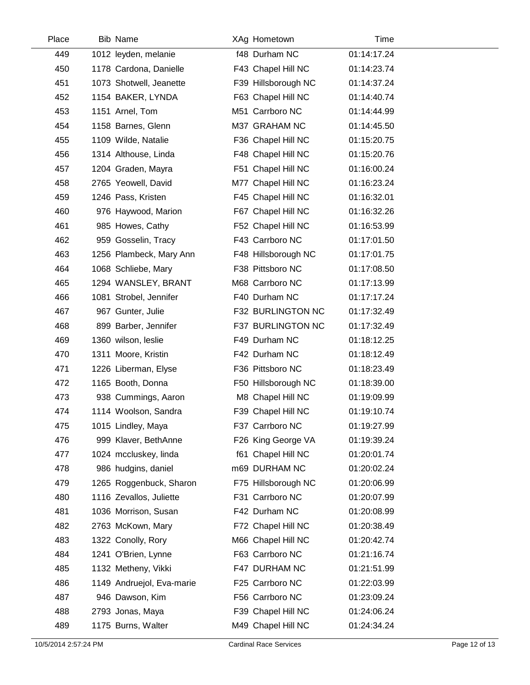| Place | <b>Bib Name</b>           | XAg Hometown        | Time        |  |
|-------|---------------------------|---------------------|-------------|--|
| 449   | 1012 leyden, melanie      | f48 Durham NC       | 01:14:17.24 |  |
| 450   | 1178 Cardona, Danielle    | F43 Chapel Hill NC  | 01:14:23.74 |  |
| 451   | 1073 Shotwell, Jeanette   | F39 Hillsborough NC | 01:14:37.24 |  |
| 452   | 1154 BAKER, LYNDA         | F63 Chapel Hill NC  | 01:14:40.74 |  |
| 453   | 1151 Arnel, Tom           | M51 Carrboro NC     | 01:14:44.99 |  |
| 454   | 1158 Barnes, Glenn        | M37 GRAHAM NC       | 01:14:45.50 |  |
| 455   | 1109 Wilde, Natalie       | F36 Chapel Hill NC  | 01:15:20.75 |  |
| 456   | 1314 Althouse, Linda      | F48 Chapel Hill NC  | 01:15:20.76 |  |
| 457   | 1204 Graden, Mayra        | F51 Chapel Hill NC  | 01:16:00.24 |  |
| 458   | 2765 Yeowell, David       | M77 Chapel Hill NC  | 01:16:23.24 |  |
| 459   | 1246 Pass, Kristen        | F45 Chapel Hill NC  | 01:16:32.01 |  |
| 460   | 976 Haywood, Marion       | F67 Chapel Hill NC  | 01:16:32.26 |  |
| 461   | 985 Howes, Cathy          | F52 Chapel Hill NC  | 01:16:53.99 |  |
| 462   | 959 Gosselin, Tracy       | F43 Carrboro NC     | 01:17:01.50 |  |
| 463   | 1256 Plambeck, Mary Ann   | F48 Hillsborough NC | 01:17:01.75 |  |
| 464   | 1068 Schliebe, Mary       | F38 Pittsboro NC    | 01:17:08.50 |  |
| 465   | 1294 WANSLEY, BRANT       | M68 Carrboro NC     | 01:17:13.99 |  |
| 466   | 1081 Strobel, Jennifer    | F40 Durham NC       | 01:17:17.24 |  |
| 467   | 967 Gunter, Julie         | F32 BURLINGTON NC   | 01:17:32.49 |  |
| 468   | 899 Barber, Jennifer      | F37 BURLINGTON NC   | 01:17:32.49 |  |
| 469   | 1360 wilson, leslie       | F49 Durham NC       | 01:18:12.25 |  |
| 470   | 1311 Moore, Kristin       | F42 Durham NC       | 01:18:12.49 |  |
| 471   | 1226 Liberman, Elyse      | F36 Pittsboro NC    | 01:18:23.49 |  |
| 472   | 1165 Booth, Donna         | F50 Hillsborough NC | 01:18:39.00 |  |
| 473   | 938 Cummings, Aaron       | M8 Chapel Hill NC   | 01:19:09.99 |  |
| 474   | 1114 Woolson, Sandra      | F39 Chapel Hill NC  | 01:19:10.74 |  |
| 475   | 1015 Lindley, Maya        | F37 Carrboro NC     | 01:19:27.99 |  |
| 476   | 999 Klaver, BethAnne      | F26 King George VA  | 01:19:39.24 |  |
| 477   | 1024 mccluskey, linda     | f61 Chapel Hill NC  | 01:20:01.74 |  |
| 478   | 986 hudgins, daniel       | m69 DURHAM NC       | 01:20:02.24 |  |
| 479   | 1265 Roggenbuck, Sharon   | F75 Hillsborough NC | 01:20:06.99 |  |
| 480   | 1116 Zevallos, Juliette   | F31 Carrboro NC     | 01:20:07.99 |  |
| 481   | 1036 Morrison, Susan      | F42 Durham NC       | 01:20:08.99 |  |
| 482   | 2763 McKown, Mary         | F72 Chapel Hill NC  | 01:20:38.49 |  |
| 483   | 1322 Conolly, Rory        | M66 Chapel Hill NC  | 01:20:42.74 |  |
| 484   | 1241 O'Brien, Lynne       | F63 Carrboro NC     | 01:21:16.74 |  |
| 485   | 1132 Metheny, Vikki       | F47 DURHAM NC       | 01:21:51.99 |  |
| 486   | 1149 Andruejol, Eva-marie | F25 Carrboro NC     | 01:22:03.99 |  |
| 487   | 946 Dawson, Kim           | F56 Carrboro NC     | 01:23:09.24 |  |
| 488   | 2793 Jonas, Maya          | F39 Chapel Hill NC  | 01:24:06.24 |  |
| 489   | 1175 Burns, Walter        | M49 Chapel Hill NC  | 01:24:34.24 |  |